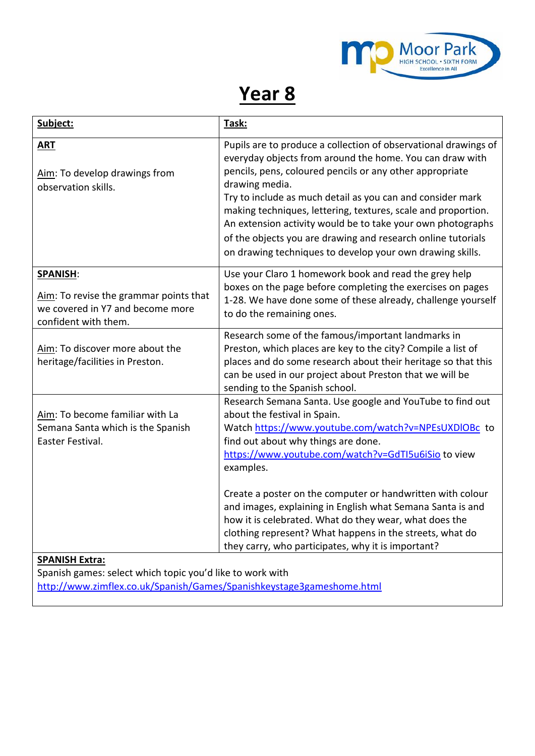

## **Year 8**

| Subject:                                                                                                              | Task:                                                                                                                                                                                                                                                                                                                                                                                                                                                                                                                                                                |  |
|-----------------------------------------------------------------------------------------------------------------------|----------------------------------------------------------------------------------------------------------------------------------------------------------------------------------------------------------------------------------------------------------------------------------------------------------------------------------------------------------------------------------------------------------------------------------------------------------------------------------------------------------------------------------------------------------------------|--|
| <b>ART</b><br>Aim: To develop drawings from<br>observation skills.                                                    | Pupils are to produce a collection of observational drawings of<br>everyday objects from around the home. You can draw with<br>pencils, pens, coloured pencils or any other appropriate<br>drawing media.<br>Try to include as much detail as you can and consider mark<br>making techniques, lettering, textures, scale and proportion.<br>An extension activity would be to take your own photographs<br>of the objects you are drawing and research online tutorials<br>on drawing techniques to develop your own drawing skills.                                 |  |
| <b>SPANISH:</b><br>Aim: To revise the grammar points that<br>we covered in Y7 and become more<br>confident with them. | Use your Claro 1 homework book and read the grey help<br>boxes on the page before completing the exercises on pages<br>1-28. We have done some of these already, challenge yourself<br>to do the remaining ones.                                                                                                                                                                                                                                                                                                                                                     |  |
| Aim: To discover more about the<br>heritage/facilities in Preston.                                                    | Research some of the famous/important landmarks in<br>Preston, which places are key to the city? Compile a list of<br>places and do some research about their heritage so that this<br>can be used in our project about Preston that we will be<br>sending to the Spanish school.                                                                                                                                                                                                                                                                                    |  |
| Aim: To become familiar with La<br>Semana Santa which is the Spanish<br>Easter Festival.                              | Research Semana Santa. Use google and YouTube to find out<br>about the festival in Spain.<br>Watch https://www.youtube.com/watch?v=NPEsUXDlOBc to<br>find out about why things are done.<br>https://www.youtube.com/watch?v=GdTI5u6iSio to view<br>examples.<br>Create a poster on the computer or handwritten with colour<br>and images, explaining in English what Semana Santa is and<br>how it is celebrated. What do they wear, what does the<br>clothing represent? What happens in the streets, what do<br>they carry, who participates, why it is important? |  |
| <b>SPANISH Extra:</b><br>والشبي باسمين وللمرازا الماريمين ونعروبه وامتوان بالممامع يمموهم وامتعوهما                   |                                                                                                                                                                                                                                                                                                                                                                                                                                                                                                                                                                      |  |

Spanish games: select which topic you'd like to work with

<http://www.zimflex.co.uk/Spanish/Games/Spanishkeystage3gameshome.html>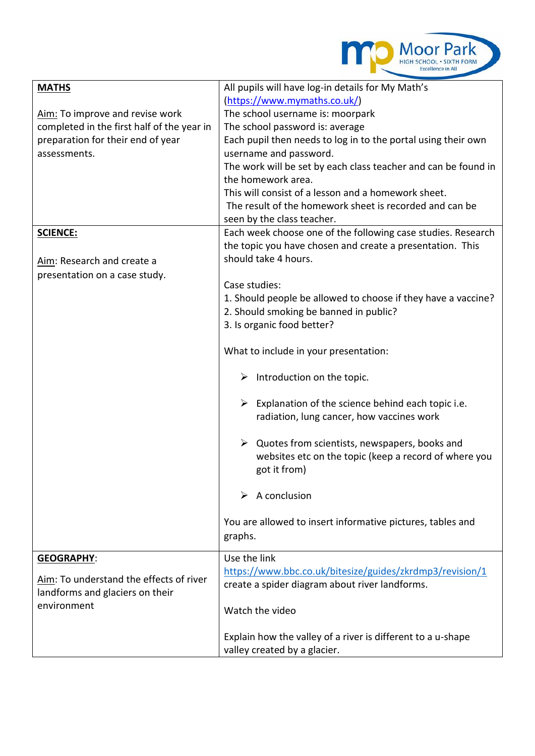

| <b>MATHS</b>                                                                              | All pupils will have log-in details for My Math's                                                                                       |
|-------------------------------------------------------------------------------------------|-----------------------------------------------------------------------------------------------------------------------------------------|
|                                                                                           | (https://www.mymaths.co.uk/)                                                                                                            |
| Aim: To improve and revise work                                                           | The school username is: moorpark                                                                                                        |
| completed in the first half of the year in                                                | The school password is: average                                                                                                         |
| preparation for their end of year                                                         | Each pupil then needs to log in to the portal using their own                                                                           |
| assessments.                                                                              | username and password.                                                                                                                  |
|                                                                                           | The work will be set by each class teacher and can be found in                                                                          |
|                                                                                           | the homework area.                                                                                                                      |
|                                                                                           | This will consist of a lesson and a homework sheet.                                                                                     |
|                                                                                           | The result of the homework sheet is recorded and can be                                                                                 |
|                                                                                           | seen by the class teacher.                                                                                                              |
| <b>SCIENCE:</b>                                                                           | Each week choose one of the following case studies. Research                                                                            |
|                                                                                           | the topic you have chosen and create a presentation. This                                                                               |
| Aim: Research and create a                                                                | should take 4 hours.                                                                                                                    |
| presentation on a case study.                                                             |                                                                                                                                         |
|                                                                                           | Case studies:                                                                                                                           |
|                                                                                           | 1. Should people be allowed to choose if they have a vaccine?                                                                           |
|                                                                                           | 2. Should smoking be banned in public?                                                                                                  |
|                                                                                           | 3. Is organic food better?                                                                                                              |
|                                                                                           |                                                                                                                                         |
|                                                                                           | What to include in your presentation:                                                                                                   |
|                                                                                           | Introduction on the topic.<br>➤                                                                                                         |
|                                                                                           | $\triangleright$ Explanation of the science behind each topic i.e.<br>radiation, lung cancer, how vaccines work                         |
|                                                                                           | $\triangleright$ Quotes from scientists, newspapers, books and<br>websites etc on the topic (keep a record of where you<br>got it from) |
|                                                                                           | A conclusion<br>➤                                                                                                                       |
|                                                                                           | You are allowed to insert informative pictures, tables and                                                                              |
|                                                                                           | graphs.                                                                                                                                 |
|                                                                                           |                                                                                                                                         |
| <b>GEOGRAPHY:</b>                                                                         | Use the link                                                                                                                            |
| Aim: To understand the effects of river<br>landforms and glaciers on their<br>environment | https://www.bbc.co.uk/bitesize/guides/zkrdmp3/revision/1                                                                                |
|                                                                                           | create a spider diagram about river landforms.                                                                                          |
|                                                                                           | Watch the video                                                                                                                         |
|                                                                                           | Explain how the valley of a river is different to a u-shape                                                                             |
|                                                                                           | valley created by a glacier.                                                                                                            |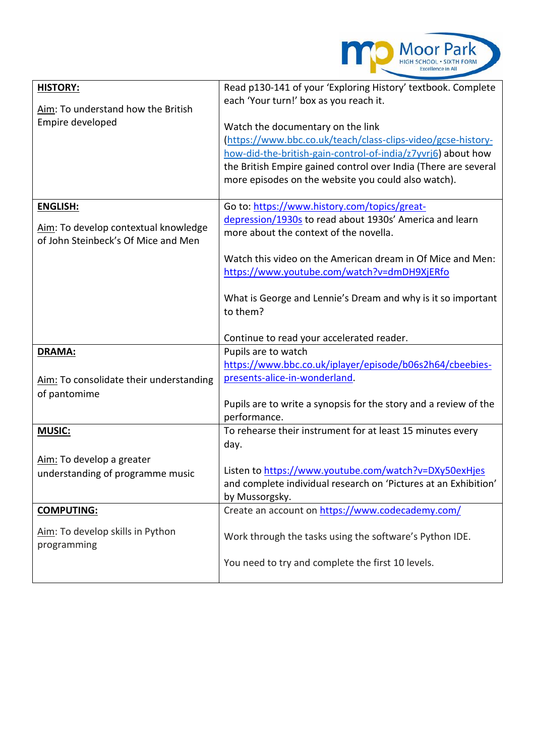

| <b>HISTORY:</b><br>Aim: To understand how the British<br>Empire developed                      | Read p130-141 of your 'Exploring History' textbook. Complete<br>each 'Your turn!' box as you reach it.<br>Watch the documentary on the link<br>(https://www.bbc.co.uk/teach/class-clips-video/gcse-history-<br>how-did-the-british-gain-control-of-india/z7yvrj6) about how<br>the British Empire gained control over India (There are several<br>more episodes on the website you could also watch). |
|------------------------------------------------------------------------------------------------|-------------------------------------------------------------------------------------------------------------------------------------------------------------------------------------------------------------------------------------------------------------------------------------------------------------------------------------------------------------------------------------------------------|
| <b>ENGLISH:</b><br>Aim: To develop contextual knowledge<br>of John Steinbeck's Of Mice and Men | Go to: https://www.history.com/topics/great-<br>depression/1930s to read about 1930s' America and learn<br>more about the context of the novella.<br>Watch this video on the American dream in Of Mice and Men:<br>https://www.youtube.com/watch?v=dmDH9XjERfo<br>What is George and Lennie's Dream and why is it so important<br>to them?<br>Continue to read your accelerated reader.               |
| DRAMA:                                                                                         | Pupils are to watch                                                                                                                                                                                                                                                                                                                                                                                   |
| Aim: To consolidate their understanding<br>of pantomime                                        | https://www.bbc.co.uk/iplayer/episode/b06s2h64/cbeebies-<br>presents-alice-in-wonderland.<br>Pupils are to write a synopsis for the story and a review of the<br>performance.                                                                                                                                                                                                                         |
| <b>MUSIC:</b>                                                                                  | To rehearse their instrument for at least 15 minutes every                                                                                                                                                                                                                                                                                                                                            |
| Aim: To develop a greater<br>understanding of programme music                                  | day.<br>Listen to https://www.youtube.com/watch?v=DXy50exHjes<br>and complete individual research on 'Pictures at an Exhibition'<br>by Mussorgsky.                                                                                                                                                                                                                                                    |
| <b>COMPUTING:</b>                                                                              | Create an account on https://www.codecademy.com/                                                                                                                                                                                                                                                                                                                                                      |
| Aim: To develop skills in Python<br>programming                                                | Work through the tasks using the software's Python IDE.<br>You need to try and complete the first 10 levels.                                                                                                                                                                                                                                                                                          |